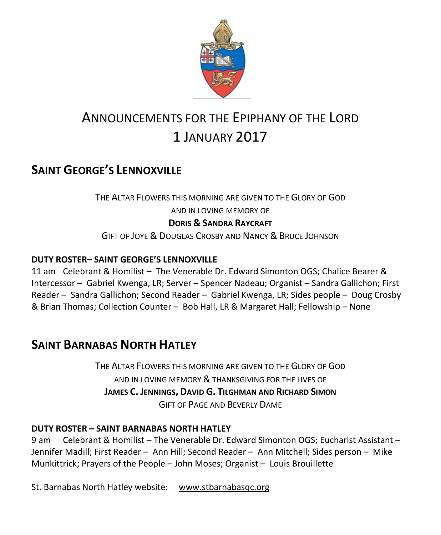

# ANNOUNCEMENTS FOR THE EPIPHANY OF THE LORD 1 JANUARY 2017

# **SAINT GEORGE'S LENNOXVILLE**

THE ALTAR FLOWERS THIS MORNING ARE GIVEN TO THE GLORY OF GOD AND IN LOVING MEMORY OF **DORIS & SANDRA RAYCRAFT** GIFT OF JOYE & DOUGLAS CROSBY AND NANCY & BRUCE JOHNSON

### **DUTY ROSTER– SAINT GEORGE'S LENNOXVILLE**

11 am Celebrant & Homilist – The Venerable Dr. Edward Simonton OGS; Chalice Bearer & Intercessor – Gabriel Kwenga, LR; Server – Spencer Nadeau; Organist – Sandra Gallichon; First Reader – Sandra Gallichon; Second Reader – Gabriel Kwenga, LR; Sides people – Doug Crosby & Brian Thomas; Collection Counter – Bob Hall, LR & Margaret Hall; Fellowship – None

## **SAINT BARNABAS NORTH HATLEY**

THE ALTAR FLOWERS THIS MORNING ARE GIVEN TO THE GLORY OF GOD AND IN LOVING MEMORY & THANKSGIVING FOR THE LIVES OF **JAMES C. JENNINGS, DAVID G. TILGHMAN AND RICHARD SIMON** GIFT OF PAGE AND BEVERLY DAME

### **DUTY ROSTER – SAINT BARNABAS NORTH HATLEY**

9 am Celebrant & Homilist – The Venerable Dr. Edward Simonton OGS; Eucharist Assistant – Jennifer Madill; First Reader – Ann Hill; Second Reader – Ann Mitchell; Sides person – Mike Munkittrick; Prayers of the People – John Moses; Organist – Louis Brouillette

St. Barnabas North Hatley website: [www.stbarnabasqc.org](https://webmail.ubishops.ca/owa/redir.aspx?REF=0vV84iQWktbgou41-Q7x-hpuWc0un25Lg32_cT3pE_mXa77B8czTCAFodHRwOi8vd3d3LnN0YmFybmFiYXNxYy5vcmc.)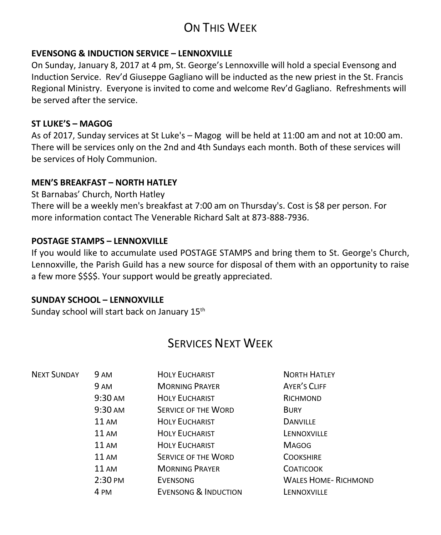# ON THIS WEEK

### **EVENSONG & INDUCTION SERVICE – LENNOXVILLE**

On Sunday, January 8, 2017 at 4 pm, St. George's Lennoxville will hold a special Evensong and Induction Service. Rev'd Giuseppe Gagliano will be inducted as the new priest in the St. Francis Regional Ministry. Everyone is invited to come and welcome Rev'd Gagliano. Refreshments will be served after the service.

### **ST LUKE'S – MAGOG**

As of 2017, Sunday services at St Luke's – Magog will be held at 11:00 am and not at 10:00 am. There will be services only on the 2nd and 4th Sundays each month. Both of these services will be services of Holy Communion.

### **MEN'S BREAKFAST – NORTH HATLEY**

St Barnabas' Church, North Hatley

There will be a weekly men's breakfast at 7:00 am on Thursday's. Cost is \$8 per person. For more information contact The Venerable Richard Salt at 873-888-7936.

### **POSTAGE STAMPS – LENNOXVILLE**

If you would like to accumulate used POSTAGE STAMPS and bring them to St. George's Church, Lennoxville, the Parish Guild has a new source for disposal of them with an opportunity to raise a few more \$\$\$\$. Your support would be greatly appreciated.

#### **SUNDAY SCHOOL – LENNOXVILLE**

Sunday school will start back on January 15<sup>th</sup>

# SERVICES NEXT WEEK

| <b>NEXT SUNDAY</b> | 9 AM              | <b>HOLY EUCHARIST</b>           | <b>NORTH HATLEY</b>         |
|--------------------|-------------------|---------------------------------|-----------------------------|
|                    | 9 AM              | <b>MORNING PRAYER</b>           | <b>AYER'S CLIFF</b>         |
|                    | 9:30 AM           | <b>HOLY EUCHARIST</b>           | RICHMOND                    |
|                    | 9:30 AM           | <b>SERVICE OF THE WORD</b>      | <b>BURY</b>                 |
|                    | <b>11 AM</b>      | <b>HOLY EUCHARIST</b>           | <b>DANVILLE</b>             |
|                    | <b>11 AM</b>      | <b>HOLY EUCHARIST</b>           | LENNOXVILLE                 |
|                    | <b>11 AM</b>      | <b>HOLY EUCHARIST</b>           | <b>MAGOG</b>                |
|                    | <b>11 AM</b>      | <b>SERVICE OF THE WORD</b>      | <b>COOKSHIRE</b>            |
|                    | <b>11 AM</b>      | <b>MORNING PRAYER</b>           | <b>COATICOOK</b>            |
|                    | $2:30 \text{ PM}$ | EVENSONG                        | <b>WALES HOME- RICHMOND</b> |
|                    | 4 PM              | <b>EVENSONG &amp; INDUCTION</b> | LENNOXVILLE                 |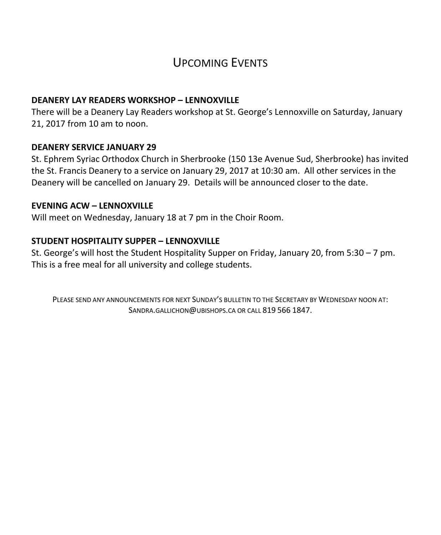# UPCOMING EVENTS

#### **DEANERY LAY READERS WORKSHOP – LENNOXVILLE**

There will be a Deanery Lay Readers workshop at St. George's Lennoxville on Saturday, January 21, 2017 from 10 am to noon.

#### **DEANERY SERVICE JANUARY 29**

St. Ephrem Syriac Orthodox Church in Sherbrooke (150 13e Avenue Sud, Sherbrooke) has invited the St. Francis Deanery to a service on January 29, 2017 at 10:30 am. All other services in the Deanery will be cancelled on January 29. Details will be announced closer to the date.

#### **EVENING ACW – LENNOXVILLE**

Will meet on Wednesday, January 18 at 7 pm in the Choir Room.

#### **STUDENT HOSPITALITY SUPPER – LENNOXVILLE**

St. George's will host the Student Hospitality Supper on Friday, January 20, from 5:30 – 7 pm. This is a free meal for all university and college students.

PLEASE SEND ANY ANNOUNCEMENTS FOR NEXT SUNDAY'S BULLETIN TO THE SECRETARY BY WEDNESDAY NOON AT: SANDRA.GALLICHON@UBISHOPS.CA OR CALL 819 566 1847.